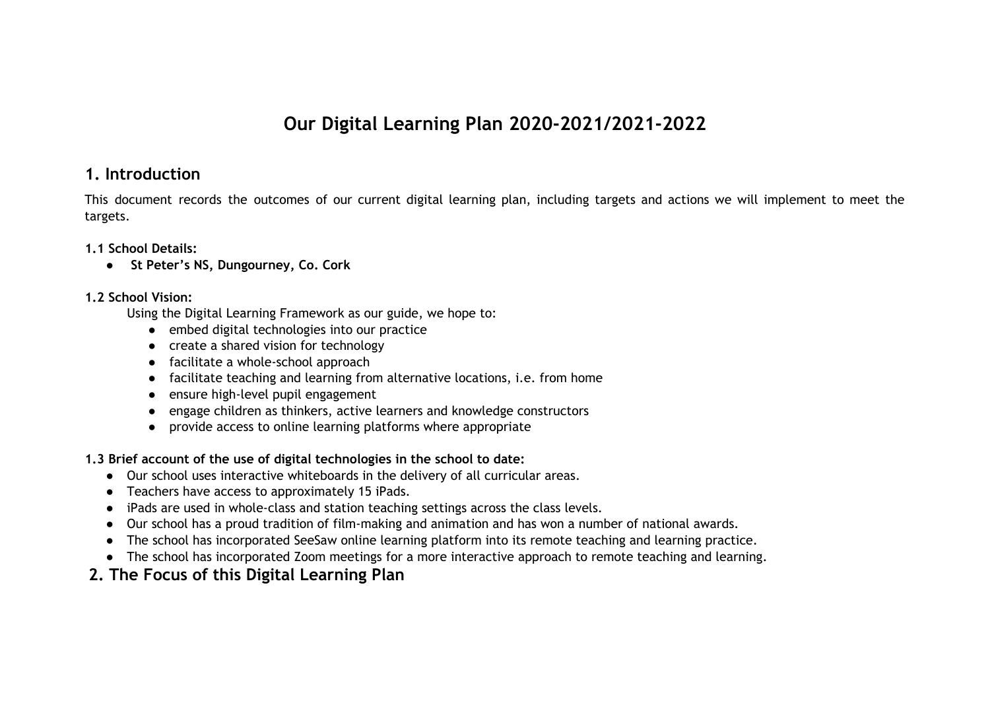# **Our Digital Learning Plan 2020-2021/2021-2022**

## **1. Introduction**

This document records the outcomes of our current digital learning plan, including targets and actions we will implement to meet the targets.

### **1.1 School Details:**

**● St Peter's NS, Dungourney, Co. Cork**

### **1.2 School Vision:**

Using the Digital Learning Framework as our guide, we hope to:

- embed digital technologies into our practice
- create a shared vision for technology
- facilitate a whole-school approach
- facilitate teaching and learning from alternative locations, i.e. from home
- ensure high-level pupil engagement
- engage children as thinkers, active learners and knowledge constructors
- provide access to online learning platforms where appropriate
- **1.3 Brief account of the use of digital technologies in the school to date:**
	- Our school uses interactive whiteboards in the delivery of all curricular areas.
	- Teachers have access to approximately 15 iPads.
	- iPads are used in whole-class and station teaching settings across the class levels.
	- Our school has a proud tradition of film-making and animation and has won a number of national awards.
	- The school has incorporated SeeSaw online learning platform into its remote teaching and learning practice.
	- The school has incorporated Zoom meetings for a more interactive approach to remote teaching and learning.

# **2. The Focus of this Digital Learning Plan**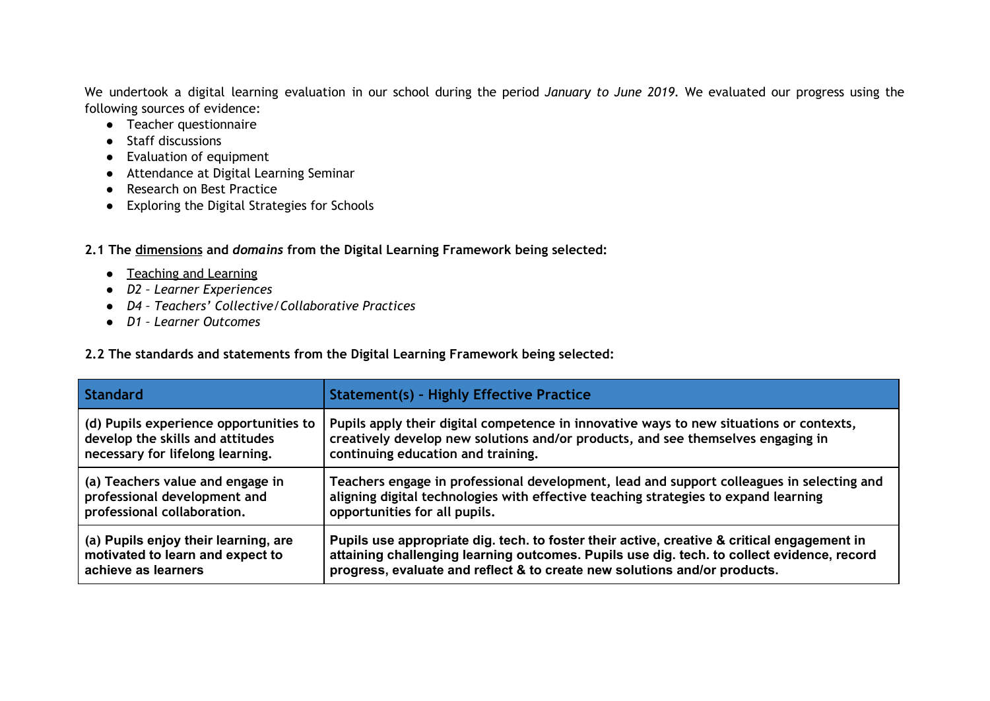We undertook a digital learning evaluation in our school during the period *January to June 2019.* We evaluated our progress using the following sources of evidence:

- Teacher questionnaire
- Staff discussions
- Evaluation of equipment
- Attendance at Digital Learning Seminar
- Research on Best Practice
- Exploring the Digital Strategies for Schools

**2.1 The dimensions and** *domains* **from the Digital Learning Framework being selected:**

- Teaching and Learning
- *● D2 – Learner Experiences*
- *● D4 – Teachers' Collective/Collaborative Practices*
- *● D1 – Learner Outcomes*

**2.2 The standards and statements from the Digital Learning Framework being selected:**

| <b>Standard</b>                        | <b>Statement(s) - Highly Effective Practice</b>                                             |
|----------------------------------------|---------------------------------------------------------------------------------------------|
| (d) Pupils experience opportunities to | Pupils apply their digital competence in innovative ways to new situations or contexts,     |
| develop the skills and attitudes       | creatively develop new solutions and/or products, and see themselves engaging in            |
| necessary for lifelong learning.       | continuing education and training.                                                          |
| (a) Teachers value and engage in       | Teachers engage in professional development, lead and support colleagues in selecting and   |
| professional development and           | aligning digital technologies with effective teaching strategies to expand learning         |
| professional collaboration.            | opportunities for all pupils.                                                               |
| (a) Pupils enjoy their learning, are   | Pupils use appropriate dig. tech. to foster their active, creative & critical engagement in |
| motivated to learn and expect to       | attaining challenging learning outcomes. Pupils use dig. tech. to collect evidence, record  |
| achieve as learners                    | progress, evaluate and reflect & to create new solutions and/or products.                   |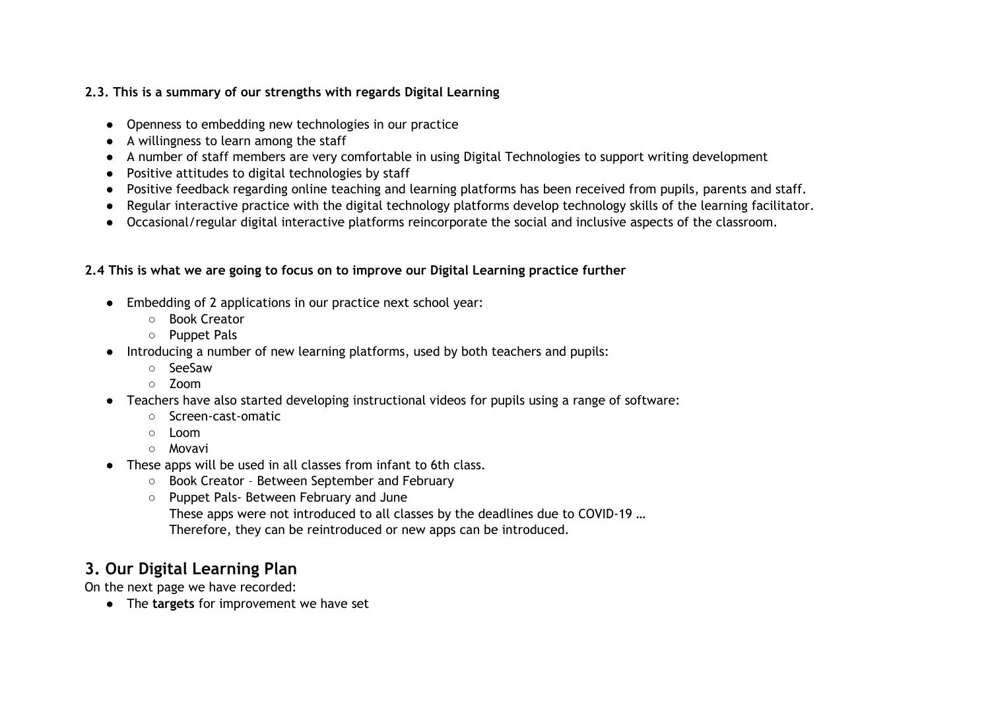## **2.3. This is a summary of our strengths with regards Digital Learning**

- Openness to embedding new technologies in our practice
- A willingness to learn among the staff
- A number of staff members are very comfortable in using Digital Technologies to support writing development
- Positive attitudes to digital technologies by staff
- Positive feedback regarding online teaching and learning platforms has been received from pupils, parents and staff.
- Regular interactive practice with the digital technology platforms develop technology skills of the learning facilitator.
- Occasional/regular digital interactive platforms reincorporate the social and inclusive aspects of the classroom.

## **2.4 This is what we are going to focus on to improve our Digital Learning practice further**

- Embedding of 2 applications in our practice next school year:
	- Book Creator
	- Puppet Pals
- Introducing a number of new learning platforms, used by both teachers and pupils:
	- SeeSaw
	- Zoom
- Teachers have also started developing instructional videos for pupils using a range of software:
	- Screen-cast-omatic
	- Loom
	- Movavi
- These apps will be used in all classes from infant to 6th class.
	- Book Creator Between September and February
	- Puppet Pals- Between February and June
		- These apps were not introduced to all classes by the deadlines due to COVID-19 …
		- Therefore, they can be reintroduced or new apps can be introduced.

# **3. Our Digital Learning Plan**

On the next page we have recorded:

● The **targets** for improvement we have set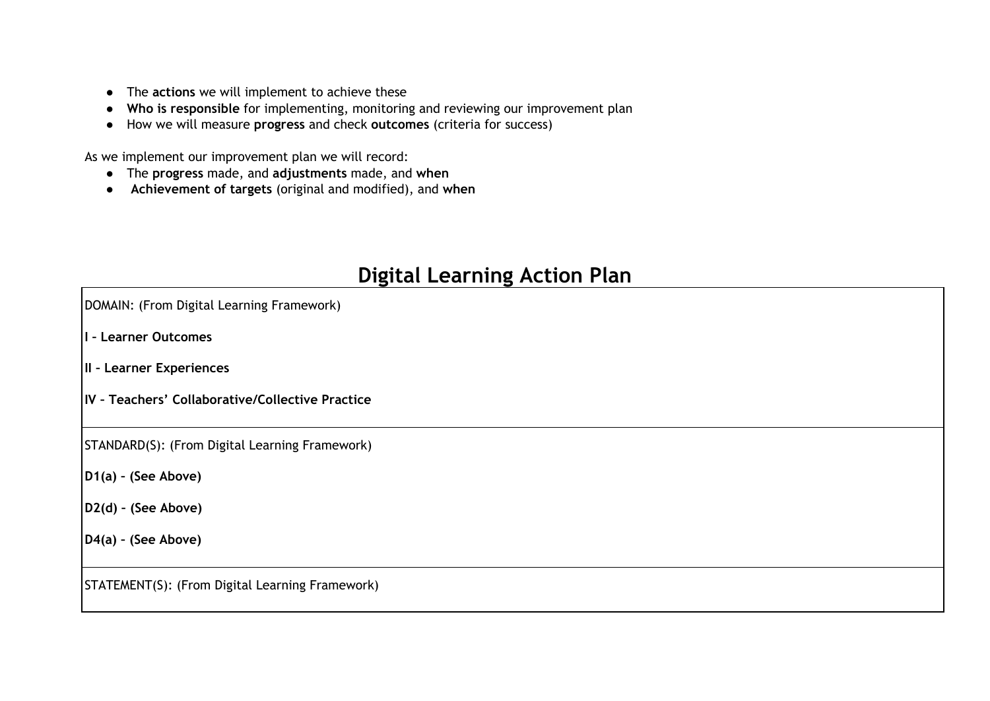- The **actions** we will implement to achieve these
- **Who is responsible** for implementing, monitoring and reviewing our improvement plan
- How we will measure **progress** and check **outcomes** (criteria for success)

As we implement our improvement plan we will record:

- The **progress** made, and **adjustments** made, and **when**
- **Achievement of targets** (original and modified), and **when**

# **Digital Learning Action Plan**

| DOMAIN: (From Digital Learning Framework)        |  |  |  |
|--------------------------------------------------|--|--|--|
| I - Learner Outcomes                             |  |  |  |
| II - Learner Experiences                         |  |  |  |
| IV - Teachers' Collaborative/Collective Practice |  |  |  |
| STANDARD(S): (From Digital Learning Framework)   |  |  |  |
| $D1(a)$ - (See Above)                            |  |  |  |
| $D2(d)$ - (See Above)                            |  |  |  |
| $D4(a)$ - (See Above)                            |  |  |  |
| STATEMENT(S): (From Digital Learning Framework)  |  |  |  |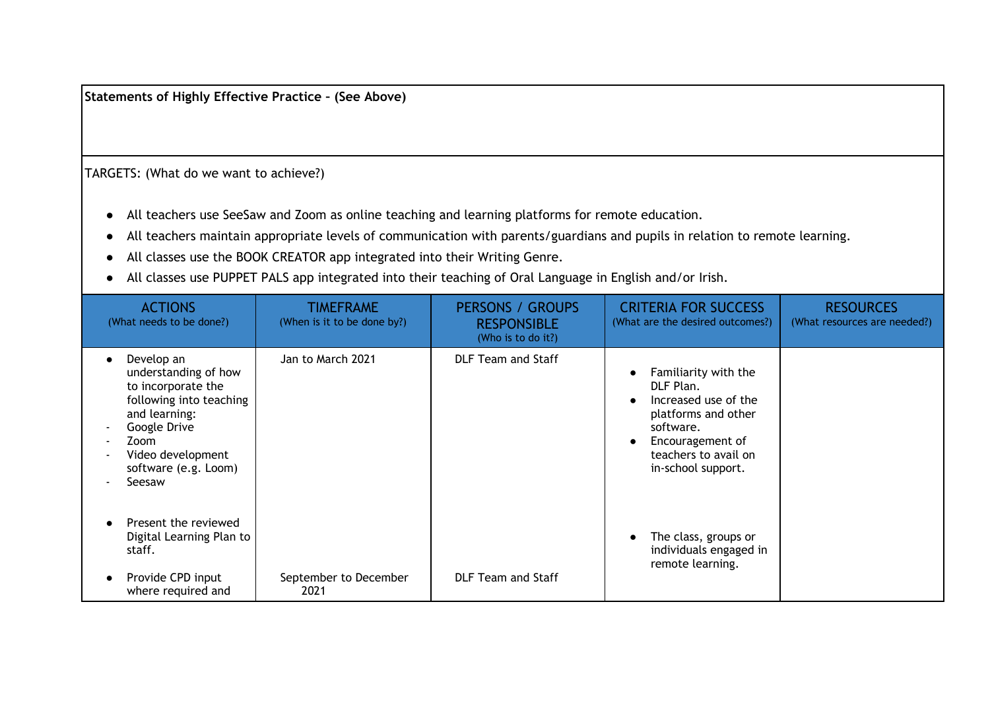**Statements of Highly Effective Practice – (See Above)**

TARGETS: (What do we want to achieve?)

- All teachers use SeeSaw and Zoom as online teaching and learning platforms for remote education.
- All teachers maintain appropriate levels of communication with parents/guardians and pupils in relation to remote learning.
- All classes use the BOOK CREATOR app integrated into their Writing Genre.
- All classes use PUPPET PALS app integrated into their teaching of Oral Language in English and/or Irish.

| <b>ACTIONS</b><br>(What needs to be done?)                                                                                                                                          | TIMEFRAME<br>(When is it to be done by?) | <b>PERSONS / GROUPS</b><br><b>RESPONSIBLE</b><br>(Who is to do it?) | <b>CRITERIA FOR SUCCESS</b><br>(What are the desired outcomes?)                                                                                                 | <b>RESOURCES</b><br>(What resources are needed?) |
|-------------------------------------------------------------------------------------------------------------------------------------------------------------------------------------|------------------------------------------|---------------------------------------------------------------------|-----------------------------------------------------------------------------------------------------------------------------------------------------------------|--------------------------------------------------|
| Develop an<br>understanding of how<br>to incorporate the<br>following into teaching<br>and learning:<br>Google Drive<br>Zoom<br>Video development<br>software (e.g. Loom)<br>Seesaw | Jan to March 2021                        | <b>DLF Team and Staff</b>                                           | Familiarity with the<br>DLF Plan.<br>Increased use of the<br>platforms and other<br>software.<br>Encouragement of<br>teachers to avail on<br>in-school support. |                                                  |
| Present the reviewed<br>Digital Learning Plan to<br>staff.<br>Provide CPD input<br>where required and                                                                               | September to December<br>2021            | <b>DLF Team and Staff</b>                                           | The class, groups or<br>individuals engaged in<br>remote learning.                                                                                              |                                                  |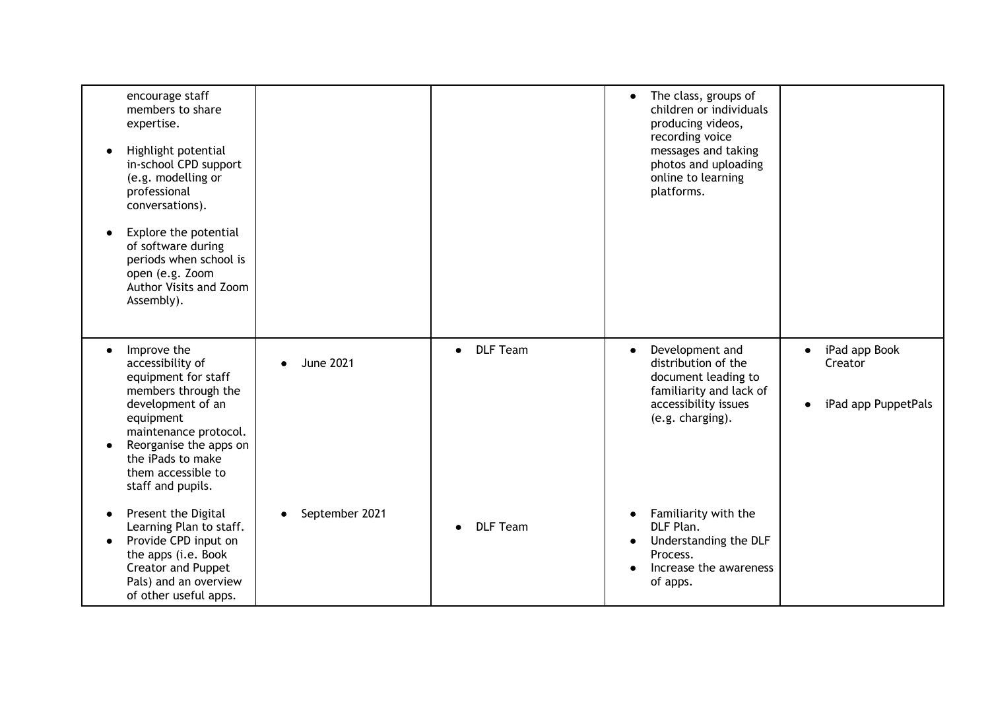| encourage staff<br>members to share<br>expertise.<br>Highlight potential<br>in-school CPD support<br>(e.g. modelling or<br>professional<br>conversations).<br>Explore the potential<br>of software during<br>periods when school is<br>open (e.g. Zoom<br>Author Visits and Zoom<br>Assembly). |                  |                              | The class, groups of<br>$\bullet$<br>children or individuals<br>producing videos,<br>recording voice<br>messages and taking<br>photos and uploading<br>online to learning<br>platforms. |                                                                           |
|------------------------------------------------------------------------------------------------------------------------------------------------------------------------------------------------------------------------------------------------------------------------------------------------|------------------|------------------------------|-----------------------------------------------------------------------------------------------------------------------------------------------------------------------------------------|---------------------------------------------------------------------------|
| Improve the<br>accessibility of<br>equipment for staff<br>members through the<br>development of an<br>equipment<br>maintenance protocol.<br>Reorganise the apps on<br>the iPads to make<br>them accessible to<br>staff and pupils.                                                             | <b>June 2021</b> | <b>DLF Team</b><br>$\bullet$ | Development and<br>$\bullet$<br>distribution of the<br>document leading to<br>familiarity and lack of<br>accessibility issues<br>(e.g. charging).                                       | iPad app Book<br>$\bullet$<br>Creator<br>iPad app PuppetPals<br>$\bullet$ |
| Present the Digital<br>Learning Plan to staff.<br>Provide CPD input on<br>$\bullet$<br>the apps (i.e. Book<br><b>Creator and Puppet</b><br>Pals) and an overview<br>of other useful apps.                                                                                                      | September 2021   | <b>DLF Team</b>              | Familiarity with the<br>$\bullet$<br>DLF Plan.<br>Understanding the DLF<br>$\bullet$<br>Process.<br>Increase the awareness<br>of apps.                                                  |                                                                           |